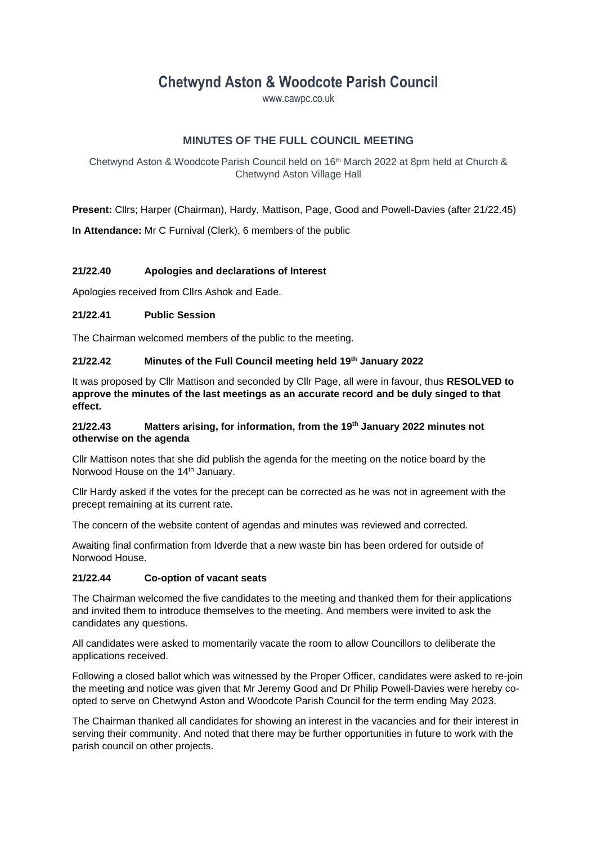# **Chetwynd Aston & Woodcote Parish Council**

www.cawpc.co.uk

# **MINUTES OF THE FULL COUNCIL MEETING**

Chetwynd Aston & Woodcote Parish Council held on 16th March 2022 at 8pm held at Church & Chetwynd Aston Village Hall

**Present:** Cllrs; Harper (Chairman), Hardy, Mattison, Page, Good and Powell-Davies (after 21/22.45)

**In Attendance:** Mr C Furnival (Clerk), 6 members of the public

#### **21/22.40 Apologies and declarations of Interest**

Apologies received from Cllrs Ashok and Eade.

#### **21/22.41 Public Session**

The Chairman welcomed members of the public to the meeting.

#### **21/22.42 Minutes of the Full Council meeting held 19th January 2022**

It was proposed by Cllr Mattison and seconded by Cllr Page, all were in favour, thus **RESOLVED to approve the minutes of the last meetings as an accurate record and be duly singed to that effect.**

#### **21/22.43 Matters arising, for information, from the 19th January 2022 minutes not otherwise on the agenda**

Cllr Mattison notes that she did publish the agenda for the meeting on the notice board by the Norwood House on the 14<sup>th</sup> January.

Cllr Hardy asked if the votes for the precept can be corrected as he was not in agreement with the precept remaining at its current rate.

The concern of the website content of agendas and minutes was reviewed and corrected.

Awaiting final confirmation from Idverde that a new waste bin has been ordered for outside of Norwood House.

## **21/22.44 Co-option of vacant seats**

The Chairman welcomed the five candidates to the meeting and thanked them for their applications and invited them to introduce themselves to the meeting. And members were invited to ask the candidates any questions.

All candidates were asked to momentarily vacate the room to allow Councillors to deliberate the applications received.

Following a closed ballot which was witnessed by the Proper Officer, candidates were asked to re-join the meeting and notice was given that Mr Jeremy Good and Dr Philip Powell-Davies were hereby coopted to serve on Chetwynd Aston and Woodcote Parish Council for the term ending May 2023.

The Chairman thanked all candidates for showing an interest in the vacancies and for their interest in serving their community. And noted that there may be further opportunities in future to work with the parish council on other projects.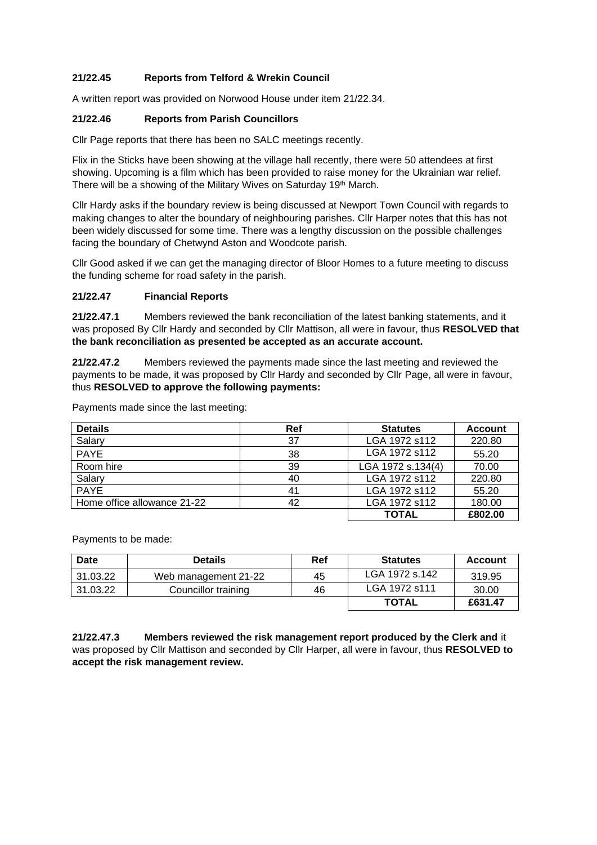## **21/22.45 Reports from Telford & Wrekin Council**

A written report was provided on Norwood House under item 21/22.34.

#### **21/22.46 Reports from Parish Councillors**

Cllr Page reports that there has been no SALC meetings recently.

Flix in the Sticks have been showing at the village hall recently, there were 50 attendees at first showing. Upcoming is a film which has been provided to raise money for the Ukrainian war relief. There will be a showing of the Military Wives on Saturday 19th March.

Cllr Hardy asks if the boundary review is being discussed at Newport Town Council with regards to making changes to alter the boundary of neighbouring parishes. Cllr Harper notes that this has not been widely discussed for some time. There was a lengthy discussion on the possible challenges facing the boundary of Chetwynd Aston and Woodcote parish.

Cllr Good asked if we can get the managing director of Bloor Homes to a future meeting to discuss the funding scheme for road safety in the parish.

#### **21/22.47 Financial Reports**

**21/22.47.1** Members reviewed the bank reconciliation of the latest banking statements, and it was proposed By Cllr Hardy and seconded by Cllr Mattison, all were in favour, thus **RESOLVED that the bank reconciliation as presented be accepted as an accurate account.**

**21/22.47.2** Members reviewed the payments made since the last meeting and reviewed the payments to be made, it was proposed by Cllr Hardy and seconded by Cllr Page, all were in favour, thus **RESOLVED to approve the following payments:**

| <b>Details</b>              | Ref | <b>Statutes</b>   | <b>Account</b> |
|-----------------------------|-----|-------------------|----------------|
| Salary                      | 37  | LGA 1972 s112     | 220.80         |
| <b>PAYE</b>                 | 38  | LGA 1972 s112     | 55.20          |
| Room hire                   | 39  | LGA 1972 s.134(4) | 70.00          |
| Salary                      | 40  | LGA 1972 s112     | 220.80         |
| <b>PAYE</b>                 | 41  | LGA 1972 s112     | 55.20          |
| Home office allowance 21-22 | 42  | LGA 1972 s112     | 180.00         |
|                             |     | <b>TOTAL</b>      | £802.00        |

Payments made since the last meeting:

Payments to be made:

| Date     | <b>Details</b>       | Ref | <b>Statutes</b> | <b>Account</b> |
|----------|----------------------|-----|-----------------|----------------|
| 31.03.22 | Web management 21-22 | 45  | LGA 1972 s.142  | 319.95         |
| 31.03.22 | Councillor training  | 46  | LGA 1972 s111   | 30.00          |
|          |                      |     | <b>TOTAL</b>    | £631.47        |

**21/22.47.3 Members reviewed the risk management report produced by the Clerk and** it was proposed by Cllr Mattison and seconded by Cllr Harper, all were in favour, thus **RESOLVED to accept the risk management review.**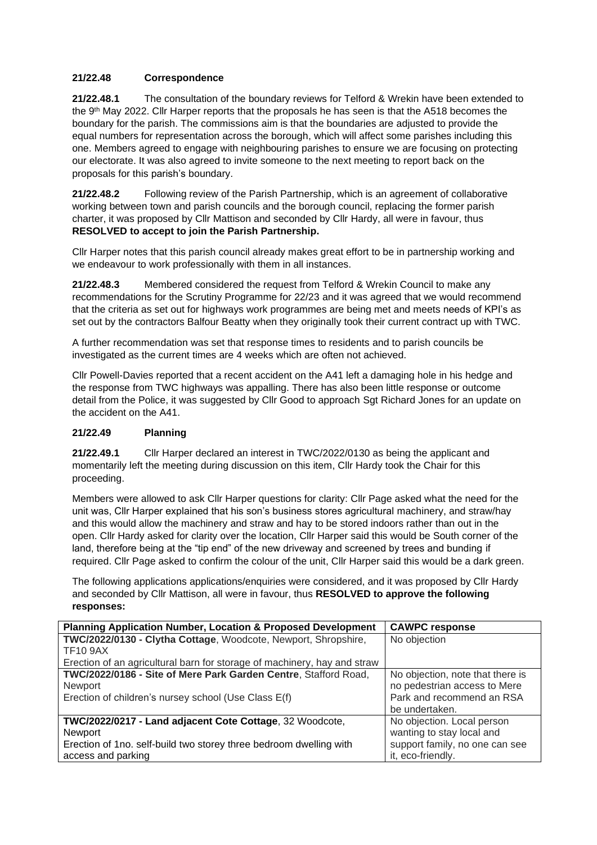# **21/22.48 Correspondence**

**21/22.48.1** The consultation of the boundary reviews for Telford & Wrekin have been extended to the 9th May 2022. Cllr Harper reports that the proposals he has seen is that the A518 becomes the boundary for the parish. The commissions aim is that the boundaries are adjusted to provide the equal numbers for representation across the borough, which will affect some parishes including this one. Members agreed to engage with neighbouring parishes to ensure we are focusing on protecting our electorate. It was also agreed to invite someone to the next meeting to report back on the proposals for this parish's boundary.

**21/22.48.2** Following review of the Parish Partnership, which is an agreement of collaborative working between town and parish councils and the borough council, replacing the former parish charter, it was proposed by Cllr Mattison and seconded by Cllr Hardy, all were in favour, thus **RESOLVED to accept to join the Parish Partnership.**

Cllr Harper notes that this parish council already makes great effort to be in partnership working and we endeavour to work professionally with them in all instances.

**21/22.48.3** Membered considered the request from Telford & Wrekin Council to make any recommendations for the Scrutiny Programme for 22/23 and it was agreed that we would recommend that the criteria as set out for highways work programmes are being met and meets needs of KPI's as set out by the contractors Balfour Beatty when they originally took their current contract up with TWC.

A further recommendation was set that response times to residents and to parish councils be investigated as the current times are 4 weeks which are often not achieved.

Cllr Powell-Davies reported that a recent accident on the A41 left a damaging hole in his hedge and the response from TWC highways was appalling. There has also been little response or outcome detail from the Police, it was suggested by Cllr Good to approach Sgt Richard Jones for an update on the accident on the A41.

#### **21/22.49 Planning**

**21/22.49.1** Cllr Harper declared an interest in TWC/2022/0130 as being the applicant and momentarily left the meeting during discussion on this item, Cllr Hardy took the Chair for this proceeding.

Members were allowed to ask Cllr Harper questions for clarity: Cllr Page asked what the need for the unit was, Cllr Harper explained that his son's business stores agricultural machinery, and straw/hay and this would allow the machinery and straw and hay to be stored indoors rather than out in the open. Cllr Hardy asked for clarity over the location, Cllr Harper said this would be South corner of the land, therefore being at the "tip end" of the new driveway and screened by trees and bunding if required. Cllr Page asked to confirm the colour of the unit, Cllr Harper said this would be a dark green.

The following applications applications/enquiries were considered, and it was proposed by Cllr Hardy and seconded by Cllr Mattison, all were in favour, thus **RESOLVED to approve the following responses:**

| <b>Planning Application Number, Location &amp; Proposed Development</b>  | <b>CAWPC response</b>            |
|--------------------------------------------------------------------------|----------------------------------|
| TWC/2022/0130 - Clytha Cottage, Woodcote, Newport, Shropshire,           | No objection                     |
| <b>TF10 9AX</b>                                                          |                                  |
| Erection of an agricultural barn for storage of machinery, hay and straw |                                  |
| TWC/2022/0186 - Site of Mere Park Garden Centre, Stafford Road,          | No objection, note that there is |
| Newport                                                                  | no pedestrian access to Mere     |
| Erection of children's nursey school (Use Class E(f)                     | Park and recommend an RSA        |
|                                                                          | be undertaken.                   |
| TWC/2022/0217 - Land adjacent Cote Cottage, 32 Woodcote,                 | No objection. Local person       |
| Newport                                                                  | wanting to stay local and        |
| Erection of 1no. self-build two storey three bedroom dwelling with       | support family, no one can see   |
| access and parking                                                       | it, eco-friendly.                |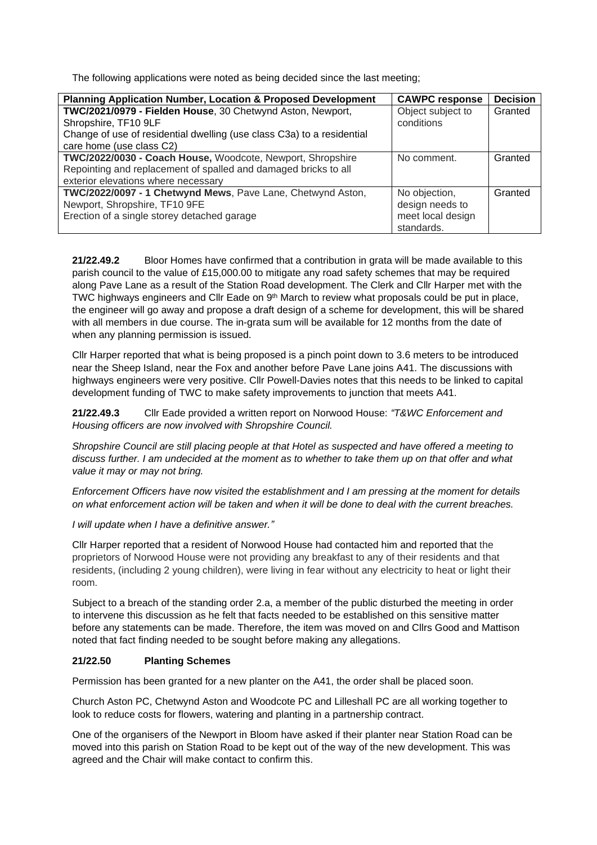The following applications were noted as being decided since the last meeting;

| <b>Planning Application Number, Location &amp; Proposed Development</b>                                                                                                                  | <b>CAWPC response</b>                                               | <b>Decision</b> |
|------------------------------------------------------------------------------------------------------------------------------------------------------------------------------------------|---------------------------------------------------------------------|-----------------|
| TWC/2021/0979 - Fielden House, 30 Chetwynd Aston, Newport,<br>Shropshire, TF10 9LF<br>Change of use of residential dwelling (use class C3a) to a residential<br>care home (use class C2) | Object subject to<br>conditions                                     | Granted         |
| TWC/2022/0030 - Coach House, Woodcote, Newport, Shropshire<br>Repointing and replacement of spalled and damaged bricks to all<br>exterior elevations where necessary                     | No comment.                                                         | Granted         |
| TWC/2022/0097 - 1 Chetwynd Mews, Pave Lane, Chetwynd Aston,<br>Newport, Shropshire, TF10 9FE<br>Erection of a single storey detached garage                                              | No objection,<br>design needs to<br>meet local design<br>standards. | Granted         |

**21/22.49.2** Bloor Homes have confirmed that a contribution in grata will be made available to this parish council to the value of £15,000.00 to mitigate any road safety schemes that may be required along Pave Lane as a result of the Station Road development. The Clerk and Cllr Harper met with the TWC highways engineers and Cllr Eade on 9<sup>th</sup> March to review what proposals could be put in place, the engineer will go away and propose a draft design of a scheme for development, this will be shared with all members in due course. The in-grata sum will be available for 12 months from the date of when any planning permission is issued.

Cllr Harper reported that what is being proposed is a pinch point down to 3.6 meters to be introduced near the Sheep Island, near the Fox and another before Pave Lane joins A41. The discussions with highways engineers were very positive. Cllr Powell-Davies notes that this needs to be linked to capital development funding of TWC to make safety improvements to junction that meets A41.

**21/22.49.3** Cllr Eade provided a written report on Norwood House: *"T&WC Enforcement and Housing officers are now involved with Shropshire Council.*

*Shropshire Council are still placing people at that Hotel as suspected and have offered a meeting to discuss further. I am undecided at the moment as to whether to take them up on that offer and what value it may or may not bring.*

*Enforcement Officers have now visited the establishment and I am pressing at the moment for details on what enforcement action will be taken and when it will be done to deal with the current breaches.*

*I will update when I have a definitive answer."*

Cllr Harper reported that a resident of Norwood House had contacted him and reported that the proprietors of Norwood House were not providing any breakfast to any of their residents and that residents, (including 2 young children), were living in fear without any electricity to heat or light their room.

Subject to a breach of the standing order 2.a, a member of the public disturbed the meeting in order to intervene this discussion as he felt that facts needed to be established on this sensitive matter before any statements can be made. Therefore, the item was moved on and Cllrs Good and Mattison noted that fact finding needed to be sought before making any allegations.

#### **21/22.50 Planting Schemes**

Permission has been granted for a new planter on the A41, the order shall be placed soon.

Church Aston PC, Chetwynd Aston and Woodcote PC and Lilleshall PC are all working together to look to reduce costs for flowers, watering and planting in a partnership contract.

One of the organisers of the Newport in Bloom have asked if their planter near Station Road can be moved into this parish on Station Road to be kept out of the way of the new development. This was agreed and the Chair will make contact to confirm this.